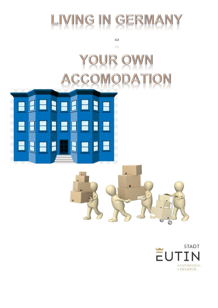

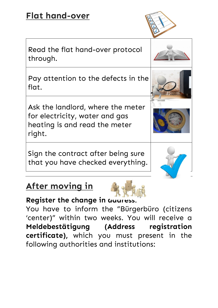# **Flat hand-over**

Read the flat hand-over protocol through.

Pay attention to the defects in t[he](https://www.google.de/url?sa=i&rct=j&q=&esrc=s&source=images&cd=&cad=rja&uact=8&ved=2ahUKEwiKhJ3yxuXeAhVC-aQKHUIRA-0QjRx6BAgBEAU&url=https://www.hypnosepraxis-rausch.de/kontakt-info-psychotherapie-koeln-bonn-wesseling/suche/&psig=AOvVaw3I04QBJJBTiVDIJfCwI2Xe&ust=1542892009757269)  flat.

Ask the landlord, where the meter for electricity, water and gas heating is and read the meter right.

Sign the contract after being sure that you have checked everything.

## **After moving in**



#### **Register the change in address:**

You have to inform the "Bürgerbüro (citizens 'center)" within two weeks. You will receive a **Meldebestätigung (Address registration certificate),** which you must present in the following authorities and institutions: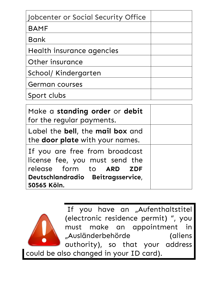| Jobcenter or Social Security Office |  |
|-------------------------------------|--|
| <b>BAMF</b>                         |  |
| <b>Bank</b>                         |  |
| Health insurance agencies           |  |
| Other insurance                     |  |
| School/ Kindergarten                |  |
| <b>German courses</b>               |  |
| Sport clubs                         |  |

| Make a standing order or debit<br>for the regular payments.                                                                                     |
|-------------------------------------------------------------------------------------------------------------------------------------------------|
| Label the bell, the mail box and<br>the door plate with your names.                                                                             |
| If you are free from broadcast<br>license fee, you must send the<br>release form to ARD ZDF<br>Deutschlandradio Beitragsservice,<br>50565 Köln. |



If you have an "Aufenthaltstitel (electronic residence permit) ", you must make an appointment in "Ausländerbehörde (aliens authority), so that your address

could be also changed in your ID card).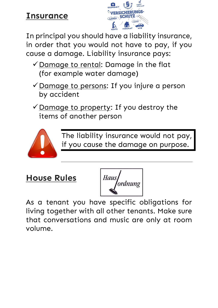## **Insurance**



In principal you should have a liability insurance, in order that you would not have to pay, if you cause a damage. Liability insurance pays:

- ✓Damage to rental: Damage in the flat (for example water damage)
- ✓Damage to persons: If you injure a person by accident
- $\checkmark$  Damage to property: If you destroy the items of another person



The liability insurance would not pay, if you cause the damage on purpose.

**House Rules**

Haus<br>Sordnung

As a tenant you have specific obligations for living together with all other tenants. Make sure that conversations and music are only at room volume.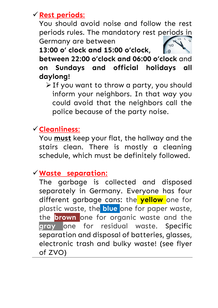#### ✓**Rest periods**:

You should avoid noise and follow the rest periods rules. The mandatory rest p[eriods in](http://www.google.de/url?sa=i&rct=j&q=&esrc=s&source=images&cd=&cad=rja&uact=8&ved=2ahUKEwjXkLPM3fveAhWHmbQKHQM4AnwQjRx6BAgBEAU&url=http://cadenaser.com/ser/2018/08/31/sociedad/1535710290_149657.html&psig=AOvVaw0VMCITzFjnrtieIgiGPXPY&ust=1543654033418912)  Germany are between

**13:00 o' clock and 15:00 o'clock,** 

**between 22:00 o'clock and 06:00 o'clock** and **on Sundays and official holidays all daylong!**

➢If you want to throw a party, you should inform your neighbors. In that way you could avoid that the neighbors call the police because of the party noise.

### ✓**Cleanliness**:

You **must** keep your flat, the hallway and the stairs clean. There is mostly a cleaning schedule, which must be definitely followed.

#### ✓**Waste separation: .**

The garbage is collected and disposed separately in Germany. Everyone has four different garbage cans: the **yellow** one for plastic waste, the **blue** one for paper waste, the **brown** one for organic waste and the **gray** one for residual waste. Specific separation and disposal of batteries, glasses, electronic trash and bulky waste! (see flyer of ZVO)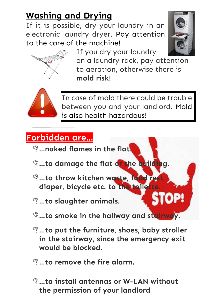# **Washing and Drying**

If it is possible, dry your laundry in an electronic laundry dryer. Pay attention to the care of the machine!



JP!

If you dry your laundry

on a laundry rack, pay attention to aeration, otherwise there is **mold risk!**



In case of mold there could be trouble between you and your landlord. Mold is also health hazardous!

# **Forbidden are…**

- **…naked flames in the flat.**
- **…to damage the flat or the building.**
- **Q...to throw kitchen waste, food rest diaper, bicycle etc. to the toilette.**
- **…to slaughter animals.**
- **…to smoke in the h[allway and stairway.](https://www.google.de/url?sa=i&rct=j&q=&esrc=s&source=images&cd=&cad=rja&uact=8&ved=2ahUKEwiV6cqIiPfeAhVQJFAKHRqyCcIQjRx6BAgBEAU&url=https://rowdymclean.com/stop-right-now/&psig=AOvVaw0NcNgTYZuAby3S6nxV_UVy&ust=1543493631309312)**
- **…to put the furniture, shoes, baby stroller in the stairway, since the emergency exit would be blocked.**
- **…to remove the fire alarm.**
- **…to install antennas or W-LAN without the permission of your landlord**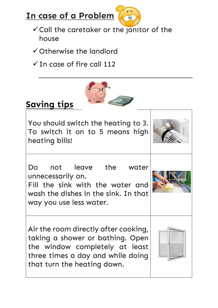



- ✓Call the caretaker or [the janit](https://www.google.de/url?sa=i&rct=j&q=&esrc=s&source=images&cd=&cad=rja&uact=8&ved=2ahUKEwjjt_uaivfeAhUJEVAKHXCMCtMQjRx6BAgBEAU&url=https://www.pinterest.com/pin/80783387044251184/&psig=AOvVaw0W1IPDazsmJFIn2COGJ6Gc&ust=1543494204916730)or of the house
- ✓Otherwise the landlord
- $\checkmark$  In case of fire call 112



# **Saving tips**

You should switch the heating to 3. To switch it on to 5 means high heating bills!



Do not leave the water unnecessarily on.

Fill the sink with the water and wash the dishes in the sink. In that way you use less water.

Air the room directly after cooking, taking a shower or bathing. Open the window completely at least three times a day and while doing that turn the heating down.